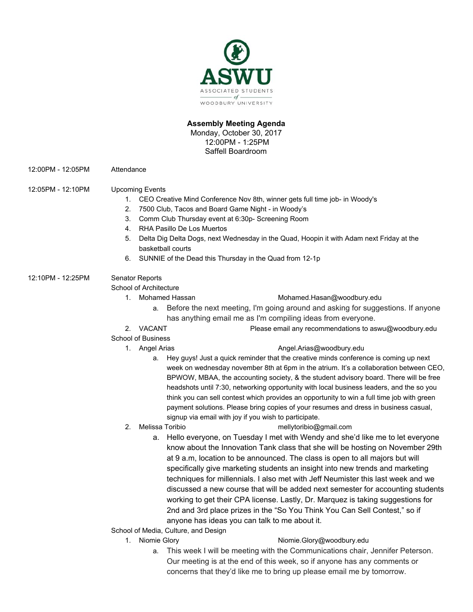

## **Assembly Meeting Agenda**

Monday, October 30, 2017 12:00PM - 1:25PM Saffell Boardroom

12:00PM - 12:05PM Attendance

## 12:05PM - 12:10PM Upcoming Events

- 1. CEO Creative Mind Conference Nov 8th, winner gets full time job- in Woody's
- 2. 7500 Club, Tacos and Board Game Night in Woody's
- 3. Comm Club Thursday event at 6:30p- Screening Room
- 4. RHA Pasillo De Los Muertos
- 5. Delta Dig Delta Dogs, next Wednesday in the Quad, Hoopin it with Adam next Friday at the basketball courts
- 6. SUNNIE of the Dead this Thursday in the Quad from 12-1p

# 12:10PM - 12:25PM Senator Reports

School of Architecture

- 1. Mohamed Hassan [Mohamed.Hasan@woodbury.edu](mailto:Mohamed.Hasan@woodbury.edu)
	- a. Before the next meeting, I'm going around and asking for suggestions. If anyone has anything email me as I'm compiling ideas from everyone.
- 2. VACANT Please email any recommendations to aswu@woodbury.edu

## School of Business

## 1. Angel Arias **[Angel.Arias@woodbury.edu](mailto:Angel.Arias@woodbury.edu)**

- a. Hey guys! Just a quick reminder that the creative minds conference is coming up next week on wednesday november 8th at 6pm in the atrium. It's a collaboration between CEO, BPWOW, MBAA, the accounting society, & the student advisory board. There will be free headshots until 7:30, networking opportunity with local business leaders, and the so you think you can sell contest which provides an opportunity to win a full time job with green payment solutions. Please bring copies of your resumes and dress in business casual, signup via email with joy if you wish to participate.
- 2. Melissa Toribio mellytoribio@gmail.com
	-
	- a. Hello everyone, on Tuesday I met with Wendy and she'd like me to let everyone know about the Innovation Tank class that she will be hosting on November 29th at 9 a.m, location to be announced. The class is open to all majors but will specifically give marketing students an insight into new trends and marketing techniques for millennials. I also met with Jeff Neumister this last week and we discussed a new course that will be added next semester for accounting students working to get their CPA license. Lastly, Dr. Marquez is taking suggestions for 2nd and 3rd place prizes in the "So You Think You Can Sell Contest," so if anyone has ideas you can talk to me about it.
- School of Media, Culture, and Design
	-

## 1. Niomie Glory **[Niomie.Glory@woodbury.edu](mailto:Niomie.Glory@woodbury.edu)**

a. This week I will be meeting with the Communications chair, Jennifer Peterson. Our meeting is at the end of this week, so if anyone has any comments or concerns that they'd like me to bring up please email me by tomorrow.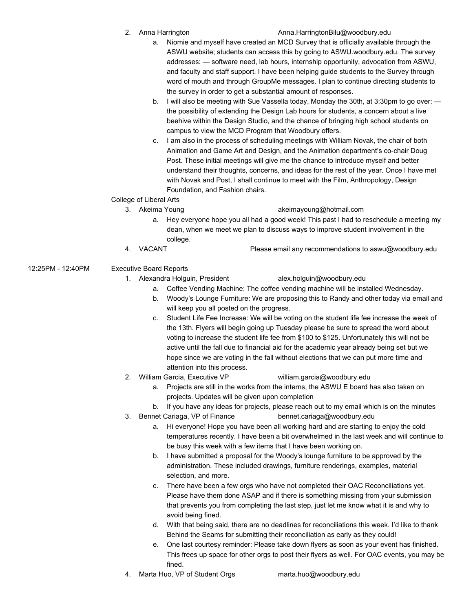2. Anna Harrington Anna.HarringtonBilu@woodbury.edu

- a. Niomie and myself have created an MCD Survey that is officially available through the ASWU website; students can access this by going to ASWU.woodbury.edu. The survey addresses: — software need, lab hours, internship opportunity, advocation from ASWU, and faculty and staff support. I have been helping guide students to the Survey through word of mouth and through GroupMe messages. I plan to continue directing students to the survey in order to get a substantial amount of responses.
- b. I will also be meeting with Sue Vassella today, Monday the 30th, at 3:30pm to go over: the possibility of extending the Design Lab hours for students, a concern about a live beehive within the Design Studio, and the chance of bringing high school students on campus to view the MCD Program that Woodbury offers.
- c. I am also in the process of scheduling meetings with William Novak, the chair of both Animation and Game Art and Design, and the Animation department's co-chair Doug Post. These initial meetings will give me the chance to introduce myself and better understand their thoughts, concerns, and ideas for the rest of the year. Once I have met with Novak and Post, I shall continue to meet with the Film, Anthropology, Design Foundation, and Fashion chairs.

# College of Liberal Arts

#### 3. Akeima Young akeimayoung@hotmail.com

- a. Hey everyone hope you all had a good week! This past I had to reschedule a meeting my dean, when we meet we plan to discuss ways to improve student involvement in the college.
- 4. VACANT Please email any recommendations to aswu@woodbury.edu
- 12:25PM 12:40PM Executive Board Reports
	- 1. Alexandra Holguin, President alex.holguin@woodbury.edu

- a. Coffee Vending Machine: The coffee vending machine will be installed Wednesday.
- b. Woody's Lounge Furniture: We are proposing this to Randy and other today via email and will keep you all posted on the progress.
- c. Student Life Fee Increase: We will be voting on the student life fee increase the week of the 13th. Flyers will begin going up Tuesday please be sure to spread the word about voting to increase the student life fee from \$100 to \$125. Unfortunately this will not be active until the fall due to financial aid for the academic year already being set but we hope since we are voting in the fall without elections that we can put more time and attention into this process.
- 
- 2. William Garcia, Executive VP william.garcia@woodbury.edu
	- a. Projects are still in the works from the interns, the ASWU E board has also taken on projects. Updates will be given upon completion
- b. If you have any ideas for projects, please reach out to my email which is on the minutes 3. Bennet Cariaga, VP of Finance bennet.cariaga@woodbury.edu
	- a. Hi everyone! Hope you have been all working hard and are starting to enjoy the cold temperatures recently. I have been a bit overwhelmed in the last week and will continue to be busy this week with a few items that I have been working on.
	- b. I have submitted a proposal for the Woody's lounge furniture to be approved by the administration. These included drawings, furniture renderings, examples, material selection, and more.
	- c. There have been a few orgs who have not completed their OAC Reconciliations yet. Please have them done ASAP and if there is something missing from your submission that prevents you from completing the last step, just let me know what it is and why to avoid being fined.
	- d. With that being said, there are no deadlines for reconciliations this week. I'd like to thank Behind the Seams for submitting their reconciliation as early as they could!
	- e. One last courtesy reminder: Please take down flyers as soon as your event has finished. This frees up space for other orgs to post their flyers as well. For OAC events, you may be fined.
- 4. Marta Huo, VP of Student Orgs marta.huo@woodbury.edu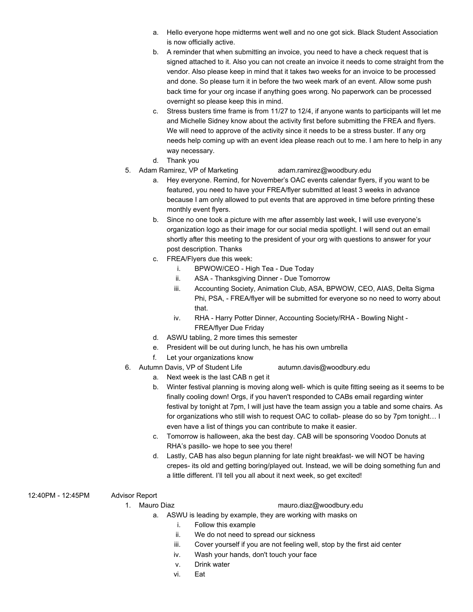- a. Hello everyone hope midterms went well and no one got sick. Black Student Association is now officially active.
- b. A reminder that when submitting an invoice, you need to have a check request that is signed attached to it. Also you can not create an invoice it needs to come straight from the vendor. Also please keep in mind that it takes two weeks for an invoice to be processed and done. So please turn it in before the two week mark of an event. Allow some push back time for your org incase if anything goes wrong. No paperwork can be processed overnight so please keep this in mind.
- c. Stress busters time frame is from 11/27 to 12/4, if anyone wants to participants will let me and Michelle Sidney know about the activity first before submitting the FREA and flyers. We will need to approve of the activity since it needs to be a stress buster. If any org needs help coming up with an event idea please reach out to me. I am here to help in any way necessary.
- d. Thank you
- 5. Adam Ramirez, VP of Marketing [adam.ramirez@woodbury.edu](mailto:adam.ramirez@woodbury.edu)
	- a. Hey everyone. Remind, for November's OAC events calendar flyers, if you want to be featured, you need to have your FREA/flyer submitted at least 3 weeks in advance because I am only allowed to put events that are approved in time before printing these monthly event flyers.
	- b. Since no one took a picture with me after assembly last week, I will use everyone's organization logo as their image for our social media spotlight. I will send out an email shortly after this meeting to the president of your org with questions to answer for your post description. Thanks
	- c. FREA/Flyers due this week:
		- i. BPWOW/CEO High Tea Due Today
		- ii. ASA Thanksgiving Dinner Due Tomorrow
		- iii. Accounting Society, Animation Club, ASA, BPWOW, CEO, AIAS, Delta Sigma Phi, PSA, - FREA/flyer will be submitted for everyone so no need to worry about that.
		- iv. RHA Harry Potter Dinner, Accounting Society/RHA Bowling Night FREA/flyer Due Friday
	- d. ASWU tabling, 2 more times this semester
	- e. President will be out during lunch, he has his own umbrella
	- f. Let your organizations know
- 6. Autumn Davis, VP of Student Life [autumn.davis@woodbury.edu](mailto:autumn.davis@woodbury.edu)
	- a. Next week is the last CAB n get it
	- b. Winter festival planning is moving along well- which is quite fitting seeing as it seems to be finally cooling down! Orgs, if you haven't responded to CABs email regarding winter festival by tonight at 7pm, I will just have the team assign you a table and some chairs. As for organizations who still wish to request OAC to collab- please do so by 7pm tonight… I even have a list of things you can contribute to make it easier.
	- c. Tomorrow is halloween, aka the best day. CAB will be sponsoring Voodoo Donuts at RHA's pasillo- we hope to see you there!
	- d. Lastly, CAB has also begun planning for late night breakfast- we will NOT be having crepes- its old and getting boring/played out. Instead, we will be doing something fun and a little different. I'll tell you all about it next week, so get excited!
- 12:40PM 12:45PM Advisor Report
- -
	- 1. Mauro Diaz [mauro.diaz@woodbury.edu](mailto:mauro.diaz@woodbury.edu)
		- a. ASWU is leading by example, they are working with masks on
			- i. Follow this example
			- ii. We do not need to spread our sickness
			- iii. Cover yourself if you are not feeling well, stop by the first aid center
			- iv. Wash your hands, don't touch your face
			- v. Drink water
			- vi. Eat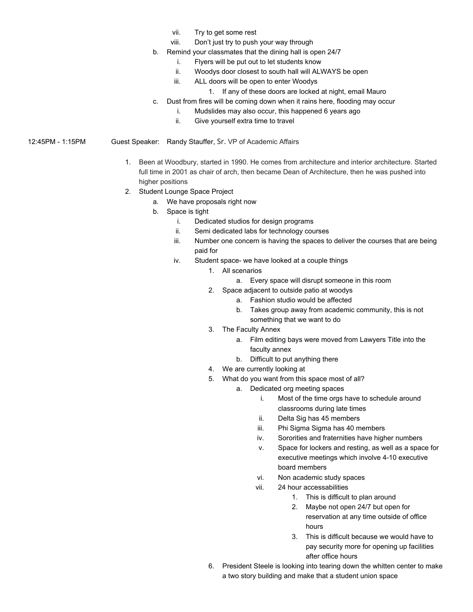- vii. Try to get some rest
- viii. Don't just try to push your way through
- b. Remind your classmates that the dining hall is open 24/7
	- i. Flyers will be put out to let students know
	- ii. Woodys door closest to south hall will ALWAYS be open
	- iii. ALL doors will be open to enter Woodys
		- 1. If any of these doors are locked at night, email Mauro
- c. Dust from fires will be coming down when it rains here, flooding may occur
	- i. Mudslides may also occur, this happened 6 years ago
		- ii. Give yourself extra time to travel
- 12:45PM 1:15PM Guest Speaker: Randy Stauffer, Sr. VP of Academic Affairs
	- 1. Been at Woodbury, started in 1990. He comes from architecture and interior architecture. Started full time in 2001 as chair of arch, then became Dean of Architecture, then he was pushed into higher positions
	- 2. Student Lounge Space Project
		- a. We have proposals right now
		- b. Space is tight
			- i. Dedicated studios for design programs
			- ii. Semi dedicated labs for technology courses
			- iii. Number one concern is having the spaces to deliver the courses that are being paid for
			- iv. Student space- we have looked at a couple things
				- 1. All scenarios
					- a. Every space will disrupt someone in this room
				- 2. Space adjacent to outside patio at woodys
					- a. Fashion studio would be affected
					- b. Takes group away from academic community, this is not something that we want to do
				- 3. The Faculty Annex
					- a. Film editing bays were moved from Lawyers Title into the faculty annex
					- b. Difficult to put anything there
				- 4. We are currently looking at
				- 5. What do you want from this space most of all?
					- a. Dedicated org meeting spaces
						- i. Most of the time orgs have to schedule around classrooms during late times
						- ii. Delta Sig has 45 members
						- iii. Phi Sigma Sigma has 40 members
						- iv. Sororities and fraternities have higher numbers
						- v. Space for lockers and resting, as well as a space for executive meetings which involve 4-10 executive board members
						- vi. Non academic study spaces
						- vii. 24 hour accessabilities
							- 1. This is difficult to plan around
							- 2. Maybe not open 24/7 but open for reservation at any time outside of office hours
							- 3. This is difficult because we would have to pay security more for opening up facilities after office hours
				- 6. President Steele is looking into tearing down the whitten center to make a two story building and make that a student union space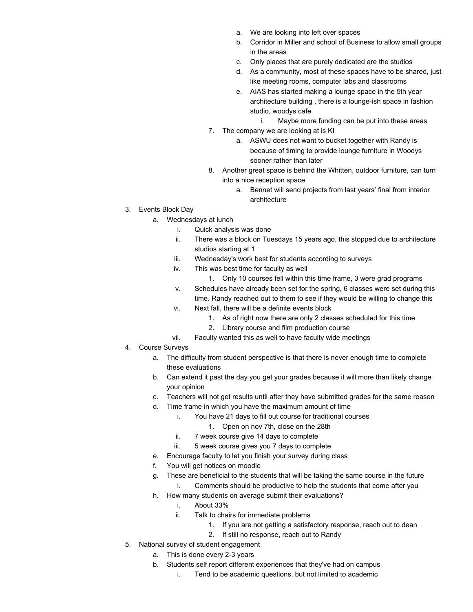- a. We are looking into left over spaces
- b. Corridor in Miller and school of Business to allow small groups in the areas
- c. Only places that are purely dedicated are the studios
- d. As a community, most of these spaces have to be shared, just like meeting rooms, computer labs and classrooms
- e. AIAS has started making a lounge space in the 5th year architecture building , there is a lounge-ish space in fashion studio, woodys cafe
	- i. Maybe more funding can be put into these areas
- 7. The company we are looking at is KI
	- a. ASWU does not want to bucket together with Randy is because of timing to provide lounge furniture in Woodys sooner rather than later
- 8. Another great space is behind the Whitten, outdoor furniture, can turn into a nice reception space
	- a. Bennet will send projects from last years' final from interior architecture
- 3. Events Block Day
	- a. Wednesdays at lunch
		- i. Quick analysis was done
		- ii. There was a block on Tuesdays 15 years ago, this stopped due to architecture studios starting at 1
		- iii. Wednesday's work best for students according to surveys
		- iv. This was best time for faculty as well
			- 1. Only 10 courses fell within this time frame, 3 were grad programs
		- v. Schedules have already been set for the spring, 6 classes were set during this time. Randy reached out to them to see if they would be willing to change this
		- vi. Next fall, there will be a definite events block
			- 1. As of right now there are only 2 classes scheduled for this time
			- 2. Library course and film production course
		- vii. Faculty wanted this as well to have faculty wide meetings
- 4. Course Surveys
	- a. The difficulty from student perspective is that there is never enough time to complete these evaluations
	- b. Can extend it past the day you get your grades because it will more than likely change your opinion
	- c. Teachers will not get results until after they have submitted grades for the same reason
	- d. Time frame in which you have the maximum amount of time
		- i. You have 21 days to fill out course for traditional courses
			- 1. Open on nov 7th, close on the 28th
		- ii. 7 week course give 14 days to complete
		- iii. 5 week course gives you 7 days to complete
	- e. Encourage faculty to let you finish your survey during class
	- f. You will get notices on moodle
	- g. These are beneficial to the students that will be taking the same course in the future i. Comments should be productive to help the students that come after you
	- h. How many students on average submit their evaluations?
		- i. About 33%
		- ii. Talk to chairs for immediate problems
			- 1. If you are not getting a satisfactory response, reach out to dean
			- 2. If still no response, reach out to Randy
- 5. National survey of student engagement
	- a. This is done every 2-3 years
	- b. Students self report different experiences that they've had on campus
		- i. Tend to be academic questions, but not limited to academic